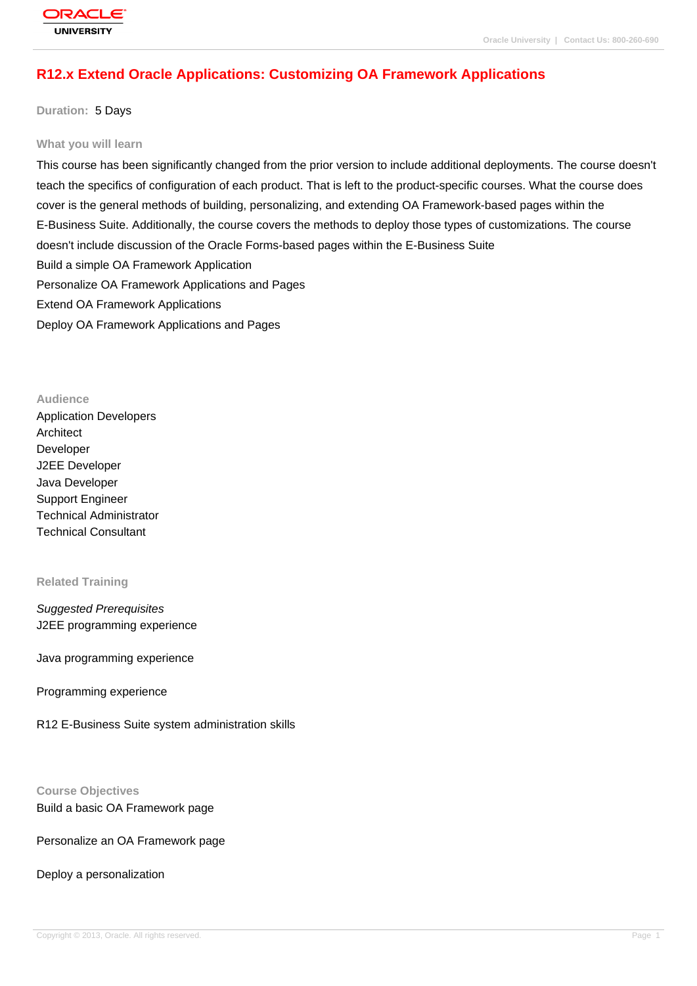# **[R12.x Extend O](http://education.oracle.com/pls/web_prod-plq-dad/db_pages.getpage?page_id=3)racle Applications: Customizing OA Framework Applications**

## **Duration:** 5 Days

#### **What you will learn**

This course has been significantly changed from the prior version to include additional deployments. The course doesn't teach the specifics of configuration of each product. That is left to the product-specific courses. What the course does cover is the general methods of building, personalizing, and extending OA Framework-based pages within the E-Business Suite. Additionally, the course covers the methods to deploy those types of customizations. The course doesn't include discussion of the Oracle Forms-based pages within the E-Business Suite Build a simple OA Framework Application Personalize OA Framework Applications and Pages Extend OA Framework Applications Deploy OA Framework Applications and Pages

## **Audience**

Application Developers Architect Developer J2EE Developer Java Developer Support Engineer Technical Administrator Technical Consultant

#### **Related Training**

## Suggested Prerequisites J2EE programming experience

Java programming experience

## Programming experience

R12 E-Business Suite system administration skills

## **Course Objectives**

Build a basic OA Framework page

## Personalize an OA Framework page

## Deploy a personalization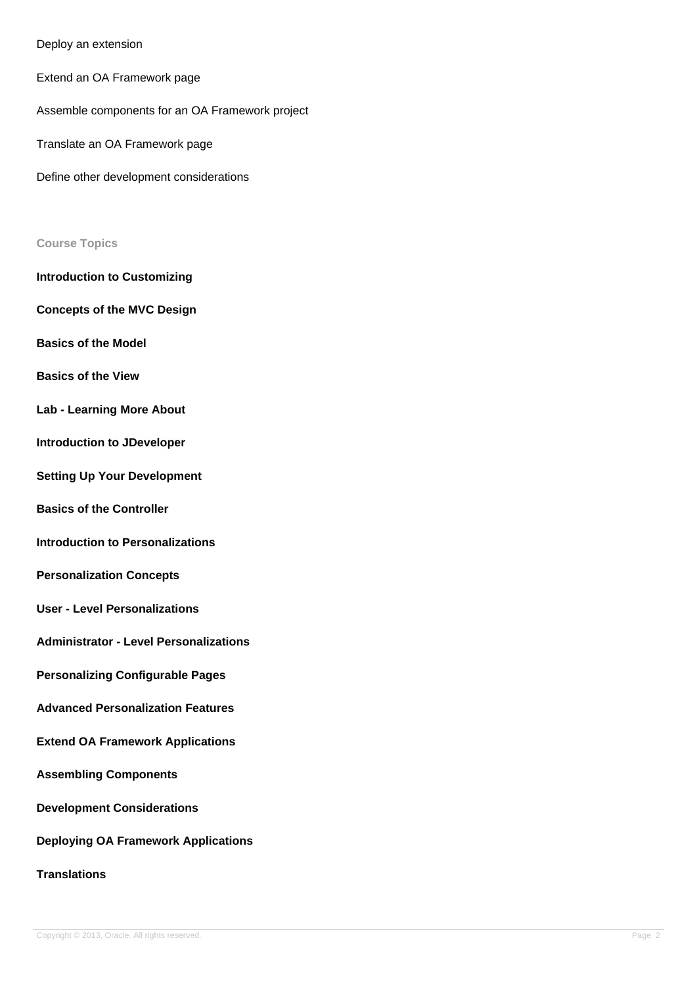## Deploy an extension

Extend an OA Framework page

Assemble components for an OA Framework project

Translate an OA Framework page

Define other development considerations

## **Course Topics**

**Introduction to Customizing**

**Concepts of the MVC Design**

**Basics of the Model**

**Basics of the View**

- **Lab Learning More About**
- **Introduction to JDeveloper**
- **Setting Up Your Development**
- **Basics of the Controller**
- **Introduction to Personalizations**
- **Personalization Concepts**
- **User Level Personalizations**
- **Administrator Level Personalizations**
- **Personalizing Configurable Pages**
- **Advanced Personalization Features**
- **Extend OA Framework Applications**
- **Assembling Components**
- **Development Considerations**

## **Deploying OA Framework Applications**

# **Translations**